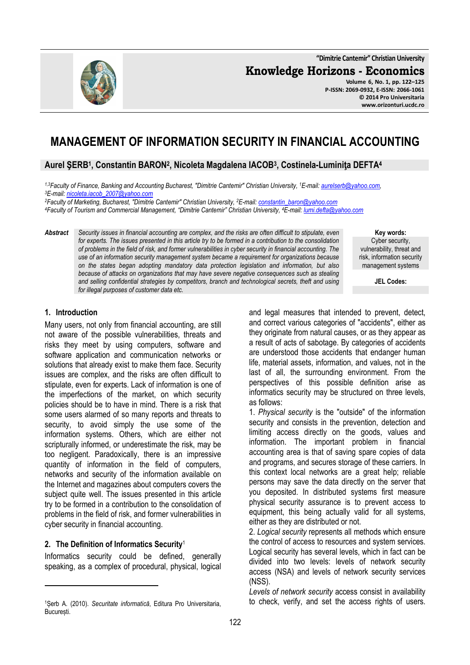122

**"Dimitrie Cantemir" Christian University**

**Knowledge Horizons - Economics**

**Volume 6, No. 1, pp. 122–125 P-ISSN: 2069-0932, E-ISSN: 2066-1061 © 2014 Pro Universitaria www.orizonturi.ucdc.ro**

# **MANAGEMENT OF INFORMATION SECURITY IN FINANCIAL ACCOUNTING**

## **Aurel ŞERB<sup>1</sup> , Constantin BARON<sup>2</sup> , Nicoleta Magdalena IACOB<sup>3</sup> , Costinela-Luminiţa DEFTA<sup>4</sup>**

*1,3Faculty of Finance, Banking and Accounting Bucharest, "Dimitrie Cantemir" Christian University, <sup>1</sup>E-mail: aurelserb@yahoo.com, <sup>3</sup>E-mail: nicoleta.iacob\_2007@yahoo.com*

*<sup>2</sup>Faculty of Marketing, Bucharest, "Dimitrie Cantemir" Christian University, <sup>2</sup>E-mail: constantin\_baron@yahoo.com <sup>4</sup>Faculty of Tourism and Commercial Management, "Dimitrie Cantemir" Christian University, <sup>4</sup>E-mail: lumi.defta@yahoo.com*

*Abstract Security issues in financial accounting are complex, and the risks are often difficult to stipulate, even for experts. The issues presented in this article try to be formed in a contribution to the consolidation of problems in the field of risk, and former vulnerabilities in cyber security in financial accounting. The use of an information security management system became a requirement for organizations because on the states began adopting mandatory data protection legislation and information, but also because of attacks on organizations that may have severe negative consequences such as stealing and selling confidential strategies by competitors, branch and technological secrets, theft and using for illegal purposes of customer data etc.* 

> and legal measures that intended to prevent, detect, and correct various categories of "accidents", either as they originate from natural causes, or as they appear as a result of acts of sabotage. By categories of accidents are understood those accidents that endanger human life, material assets, information, and values, not in the last of all, the surrounding environment. From the perspectives of this possible definition arise as informatics security may be structured on three levels, as follows:

> 1. *Physical security* is the "outside" of the information security and consists in the prevention, detection and limiting access directly on the goods, values and information. The important problem in financial accounting area is that of saving spare copies of data and programs, and secures storage of these carriers. In this context local networks are a great help; reliable persons may save the data directly on the server that you deposited. In distributed systems first measure physical security assurance is to prevent access to equipment, this being actually valid for all systems, either as they are distributed or not.

> 2. *Logical security* represents all methods which ensure the control of access to resources and system services. Logical security has several levels, which in fact can be divided into two levels: levels of network security access (NSA) and levels of network security services (NSS).

> *Levels of network security* access consist in availability to check, verify, and set the access rights of users.

#### **1. Introduction**

Many users, not only from financial accounting, are still not aware of the possible vulnerabilities, threats and risks they meet by using computers, software and software application and communication networks or solutions that already exist to make them face. Security issues are complex, and the risks are often difficult to stipulate, even for experts. Lack of information is one of the imperfections of the market, on which security policies should be to have in mind. There is a risk that some users alarmed of so many reports and threats to security, to avoid simply the use some of the information systems. Others, which are either not scripturally informed, or underestimate the risk, may be too negligent. Paradoxically, there is an impressive quantity of information in the field of computers, networks and security of the information available on the Internet and magazines about computers covers the subject quite well. The issues presented in this article try to be formed in a contribution to the consolidation of problems in the field of risk, and former vulnerabilities in cyber security in financial accounting.

#### **2. The Definition of Informatics Security**<sup>1</sup>

l

Informatics security could be defined, generally speaking, as a complex of procedural, physical, logical



**Key words:** Cyber security, vulnerability, threat and risk, information security management systems

**JEL Codes:**

<sup>1</sup>Șerb A. (2010). *Securitate informatică*, Editura Pro Universitaria, București.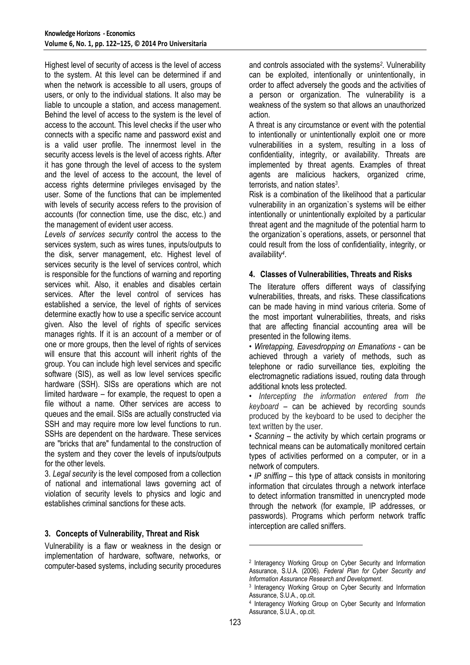Highest level of security of access is the level of access to the system. At this level can be determined if and when the network is accessible to all users, groups of users, or only to the individual stations. It also may be liable to uncouple a station, and access management. Behind the level of access to the system is the level of access to the account. This level checks if the user who connects with a specific name and password exist and is a valid user profile. The innermost level in the security access levels is the level of access rights. After it has gone through the level of access to the system and the level of access to the account, the level of access rights determine privileges envisaged by the user. Some of the functions that can be implemented with levels of security access refers to the provision of accounts (for connection time, use the disc, etc.) and the management of evident user access.

*Levels of services security* control the access to the services system, such as wires tunes, inputs/outputs to the disk, server management, etc. Highest level of services security is the level of services control, which is responsible for the functions of warning and reporting services whit. Also, it enables and disables certain services. After the level control of services has established a service, the level of rights of services determine exactly how to use a specific service account given. Also the level of rights of specific services manages rights. If it is an account of a member or of one or more groups, then the level of rights of services will ensure that this account will inherit rights of the group. You can include high level services and specific software (SIS), as well as low level services specific hardware (SSH). SISs are operations which are not limited hardware – for example, the request to open a file without a name. Other services are access to queues and the email. SISs are actually constructed via SSH and may require more low level functions to run. SSHs are dependent on the hardware. These services are "bricks that are" fundamental to the construction of the system and they cover the levels of inputs/outputs for the other levels.

3. *Legal security* is the level composed from a collection of national and international laws governing act of violation of security levels to physics and logic and establishes criminal sanctions for these acts.

#### **3. Concepts of Vulnerability, Threat and Risk**

Vulnerability is a flaw or weakness in the design or implementation of hardware, software, networks, or computer-based systems, including security procedures

and controls associated with the systems*<sup>2</sup>* . Vulnerability can be exploited, intentionally or unintentionally, in order to affect adversely the goods and the activities of a person or organization. The vulnerability is a weakness of the system so that allows an unauthorized action.

A threat is any circumstance or event with the potential to intentionally or unintentionally exploit one or more vulnerabilities in a system, resulting in a loss of confidentiality, integrity, or availability. Threats are implemented by threat agents. Examples of threat agents are malicious hackers, organized crime, terrorists, and nation states*<sup>3</sup>* .

Risk is a combination of the likelihood that a particular vulnerability in an organization`s systems will be either intentionally or unintentionally exploited by a particular threat agent and the magnitude of the potential harm to the organization`s operations, assets, or personnel that could result from the loss of confidentiality, integrity, or availability*<sup>4</sup>* .

#### **4. Classes of Vulnerabilities, Threats and Risks**

The literature offers different ways of classifying **v**ulnerabilities, threats, and risks. These classifications can be made having in mind various criteria. Some of the most important **v**ulnerabilities, threats, and risks that are affecting financial accounting area will be presented in the following items.

• *Wiretapping, Eavesdropping on Emanations* - can be achieved through a variety of methods, such as telephone or radio surveillance ties, exploiting the electromagnetic radiations issued, routing data through additional knots less protected.

• *Intercepting the information entered from the keyboard* – can be achieved by recording sounds produced by the keyboard to be used to decipher the text written by the user.

• *Scanning* – the activity by which certain programs or technical means can be automatically monitored certain types of activities performed on a computer, or in a network of computers.

• *IP sniffing* – this type of attack consists in monitoring information that circulates through a network interface to detect information transmitted in unencrypted mode through the network (for example, IP addresses, or passwords). Programs which perform network traffic interception are called sniffers.

l

<sup>2</sup> Interagency Working Group on Cyber Security and Information Assurance, S.U.A. (2006). *Federal Plan for Cyber Security and Information Assurance Research and Development*.

<sup>3</sup> Interagency Working Group on Cyber Security and Information Assurance, S.U.A., op.cit.

<sup>4</sup> Interagency Working Group on Cyber Security and Information Assurance, S.U.A., op.cit.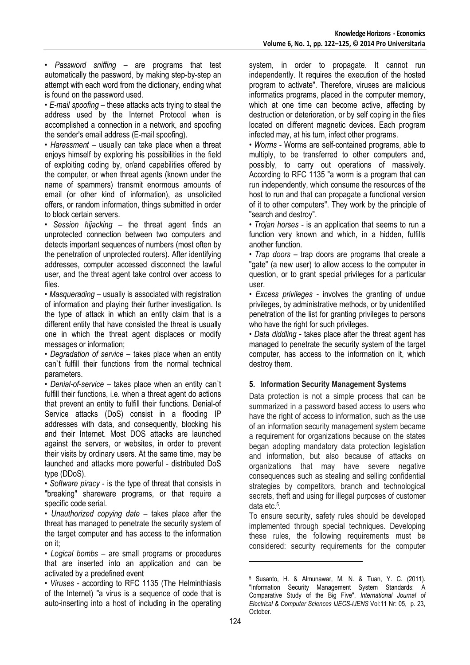• *Password sniffing* – are programs that test automatically the password, by making step-by-step an attempt with each word from the dictionary, ending what is found on the password used.

• *E-mail spoofing* – these attacks acts trying to steal the address used by the Internet Protocol when is accomplished a connection in a network, and spoofing the sender's email address (E-mail spoofing).

• *Harassment* – usually can take place when a threat enjoys himself by exploring his possibilities in the field of exploiting coding by, or/and capabilities offered by the computer, or when threat agents (known under the name of spammers) transmit enormous amounts of email (or other kind of information), as unsolicited offers, or random information, things submitted in order to block certain servers.

• *Session hijacking* – the threat agent finds an unprotected connection between two computers and detects important sequences of numbers (most often by the penetration of unprotected routers). After identifying addresses, computer accessed disconnect the lawful user, and the threat agent take control over access to files.

• *Masquerading* – usually is associated with registration of information and playing their further investigation. Is the type of attack in which an entity claim that is a different entity that have consisted the threat is usually one in which the threat agent displaces or modify messages or information;

• *Degradation of service* – takes place when an entity can`t fulfill their functions from the normal technical parameters.

• *Denial-of-service* – takes place when an entity can`t fulfill their functions, i.e. when a threat agent do actions that prevent an entity to fulfill their functions. Denial-of Service attacks (DoS) consist in a flooding IP addresses with data, and consequently, blocking his and their Internet. Most DOS attacks are launched against the servers, or websites, in order to prevent their visits by ordinary users. At the same time, may be launched and attacks more powerful - distributed DoS type (DDoS).

• *Software piracy* - is the type of threat that consists in "breaking" shareware programs, or that require a specific code serial.

• *Unauthorized copying date* – takes place after the threat has managed to penetrate the security system of the target computer and has access to the information on it;

• *Logical bombs* – are small programs or procedures that are inserted into an application and can be activated by a predefined event

• *Viruses* - according to RFC 1135 (The Helminthiasis of the Internet) "a virus is a sequence of code that is auto-inserting into a host of including in the operating system, in order to propagate. It cannot run independently. It requires the execution of the hosted program to activate". Therefore, viruses are malicious informatics programs, placed in the computer memory, which at one time can become active, affecting by destruction or deterioration, or by self coping in the files located on different magnetic devices. Each program infected may, at his turn, infect other programs.

• *Worms* - Worms are self-contained programs, able to multiply, to be transferred to other computers and, possibly, to carry out operations of massively. According to RFC 1135 "a worm is a program that can run independently, which consume the resources of the host to run and that can propagate a functional version of it to other computers". They work by the principle of "search and destroy".

• *Trojan horses* - is an application that seems to run a function very known and which, in a hidden, fulfills another function.

• *Trap doors* – trap doors are programs that create a "gate" (a new user) to allow access to the computer in question, or to grant special privileges for a particular user.

• *Excess privileges* - involves the granting of undue privileges, by administrative methods, or by unidentified penetration of the list for granting privileges to persons who have the right for such privileges.

• *Data diddling* - takes place after the threat agent has managed to penetrate the security system of the target computer, has access to the information on it, which destroy them.

## **5. Information Security Management Systems**

Data protection is not a simple process that can be summarized in a password based access to users who have the right of access to information, such as the use of an information security management system became a requirement for organizations because on the states began adopting mandatory data protection legislation and information, but also because of attacks on organizations that may have severe negative consequences such as stealing and selling confidential strategies by competitors, branch and technological secrets, theft and using for illegal purposes of customer data etc.<sup>5</sup> .

To ensure security, safety rules should be developed implemented through special techniques. Developing these rules, the following requirements must be considered: security requirements for the computer

 $\overline{a}$ 

<sup>5</sup> Susanto, H. & Almunawar, M. N. & Tuan, Y. C. (2011). "Information Security Management System Standards: A Comparative Study of the Big Five", *International Journal of Electrical & Computer Sciences IJECS-IJENS* Vol:11 Nr: 05, p. 23, October.